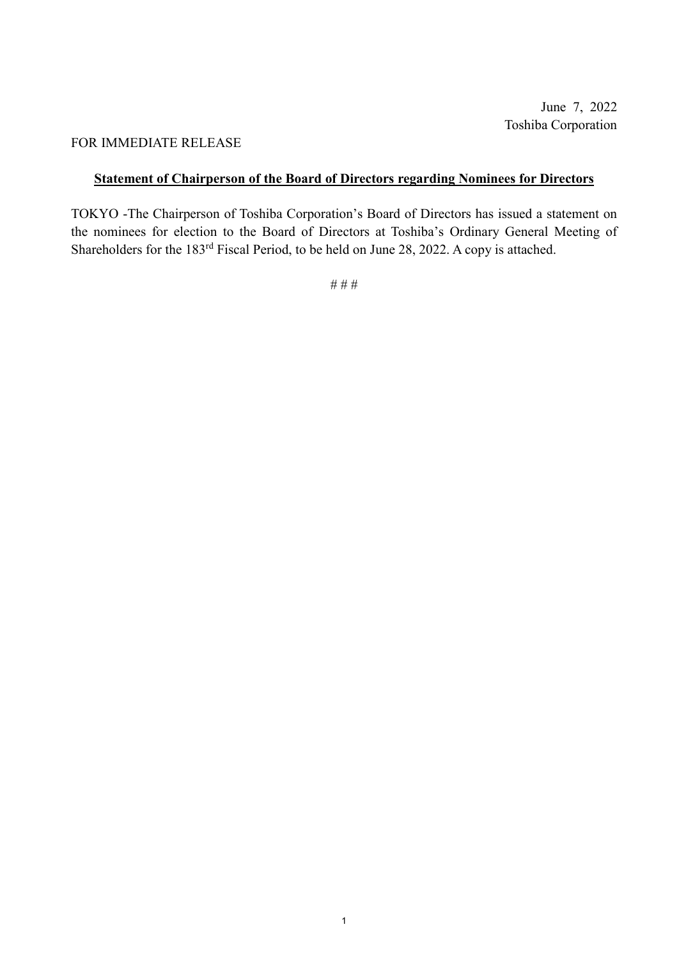June 7, 2022 Toshiba Corporation

## FOR IMMEDIATE RELEASE

## **Statement of Chairperson of the Board of Directors regarding Nominees for Directors**

TOKYO -The Chairperson of Toshiba Corporation's Board of Directors has issued a statement on the nominees for election to the Board of Directors at Toshiba's Ordinary General Meeting of Shareholders for the 183rd Fiscal Period, to be held on June 28, 2022. A copy is attached.

# # #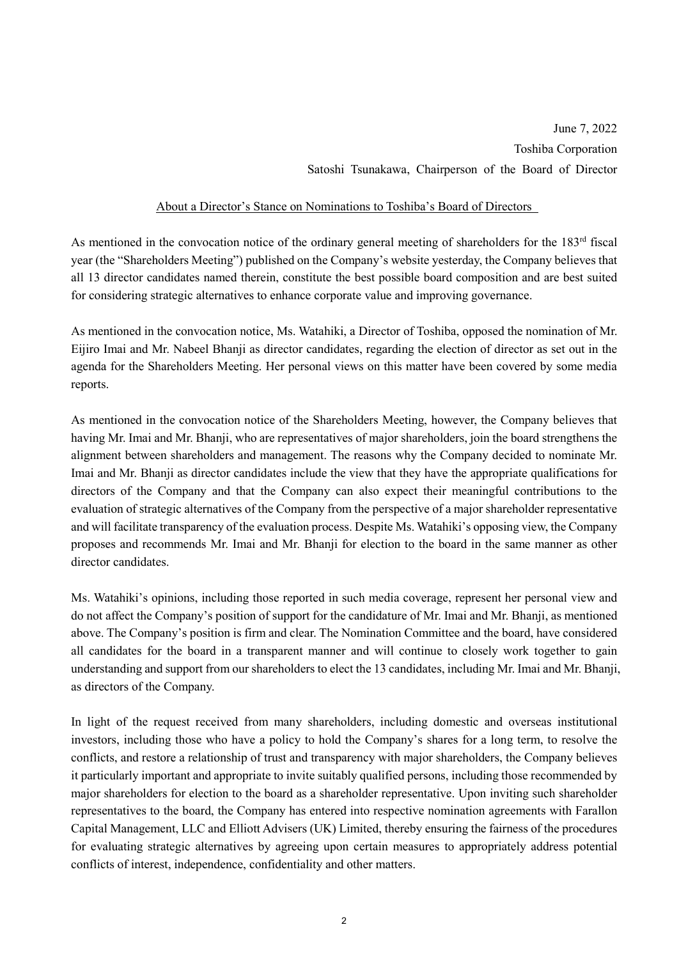June 7, 2022 Toshiba Corporation Satoshi Tsunakawa, Chairperson of the Board of Director

## About a Director's Stance on Nominations to Toshiba's Board of Directors

As mentioned in the convocation notice of the ordinary general meeting of shareholders for the 183<sup>rd</sup> fiscal year (the "Shareholders Meeting") published on the Company's website yesterday, the Company believes that all 13 director candidates named therein, constitute the best possible board composition and are best suited for considering strategic alternatives to enhance corporate value and improving governance.

As mentioned in the convocation notice, Ms. Watahiki, a Director of Toshiba, opposed the nomination of Mr. Eijiro Imai and Mr. Nabeel Bhanji as director candidates, regarding the election of director as set out in the agenda for the Shareholders Meeting. Her personal views on this matter have been covered by some media reports.

As mentioned in the convocation notice of the Shareholders Meeting, however, the Company believes that having Mr. Imai and Mr. Bhanji, who are representatives of major shareholders, join the board strengthens the alignment between shareholders and management. The reasons why the Company decided to nominate Mr. Imai and Mr. Bhanji as director candidates include the view that they have the appropriate qualifications for directors of the Company and that the Company can also expect their meaningful contributions to the evaluation of strategic alternatives of the Company from the perspective of a major shareholder representative and will facilitate transparency of the evaluation process. Despite Ms. Watahiki's opposing view, the Company proposes and recommends Mr. Imai and Mr. Bhanji for election to the board in the same manner as other director candidates.

Ms. Watahiki's opinions, including those reported in such media coverage, represent her personal view and do not affect the Company's position of support for the candidature of Mr. Imai and Mr. Bhanji, as mentioned above. The Company's position is firm and clear. The Nomination Committee and the board, have considered all candidates for the board in a transparent manner and will continue to closely work together to gain understanding and support from our shareholders to elect the 13 candidates, including Mr. Imai and Mr. Bhanji, as directors of the Company.

In light of the request received from many shareholders, including domestic and overseas institutional investors, including those who have a policy to hold the Company's shares for a long term, to resolve the conflicts, and restore a relationship of trust and transparency with major shareholders, the Company believes it particularly important and appropriate to invite suitably qualified persons, including those recommended by major shareholders for election to the board as a shareholder representative. Upon inviting such shareholder representatives to the board, the Company has entered into respective nomination agreements with Farallon Capital Management, LLC and Elliott Advisers (UK) Limited, thereby ensuring the fairness of the procedures for evaluating strategic alternatives by agreeing upon certain measures to appropriately address potential conflicts of interest, independence, confidentiality and other matters.